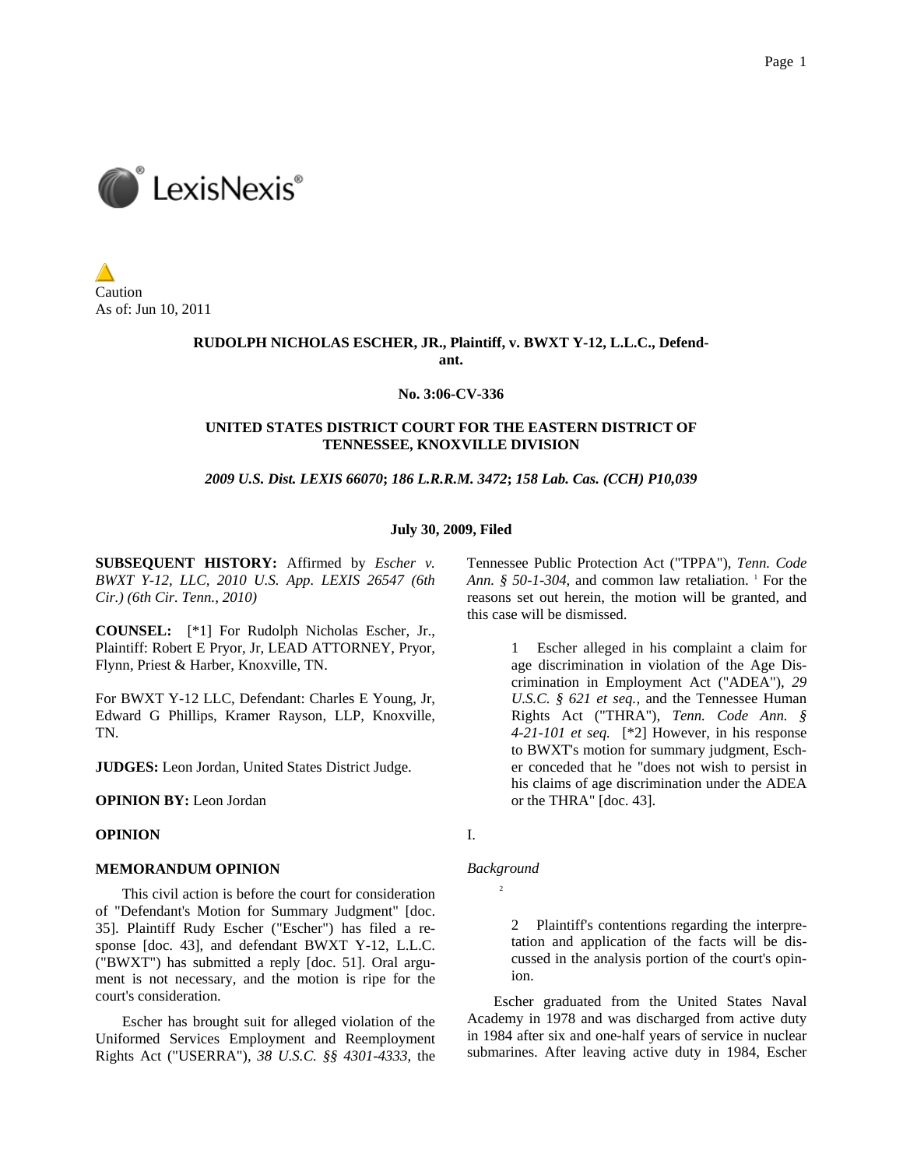

Caution As of: Jun 10, 2011

## **RUDOLPH NICHOLAS ESCHER, JR., Plaintiff, v. BWXT Y-12, L.L.C., Defendant.**

### **No. 3:06-CV-336**

## **UNITED STATES DISTRICT COURT FOR THE EASTERN DISTRICT OF TENNESSEE, KNOXVILLE DIVISION**

#### *2009 U.S. Dist. LEXIS 66070***;** *186 L.R.R.M. 3472***;** *158 Lab. Cas. (CCH) P10,039*

#### **July 30, 2009, Filed**

**SUBSEQUENT HISTORY:** Affirmed by *Escher v. BWXT Y-12, LLC, 2010 U.S. App. LEXIS 26547 (6th Cir.) (6th Cir. Tenn., 2010)*

**COUNSEL:** [\*1] For Rudolph Nicholas Escher, Jr., Plaintiff: Robert E Pryor, Jr, LEAD ATTORNEY, Pryor, Flynn, Priest & Harber, Knoxville, TN.

For BWXT Y-12 LLC, Defendant: Charles E Young, Jr, Edward G Phillips, Kramer Rayson, LLP, Knoxville, TN.

**JUDGES:** Leon Jordan, United States District Judge.

**OPINION BY:** Leon Jordan

# **OPINION**

#### **MEMORANDUM OPINION**

This civil action is before the court for consideration of "Defendant's Motion for Summary Judgment" [doc. 35]. Plaintiff Rudy Escher ("Escher") has filed a response [doc. 43], and defendant BWXT Y-12, L.L.C. ("BWXT") has submitted a reply [doc. 51]. Oral argument is not necessary, and the motion is ripe for the court's consideration.

Escher has brought suit for alleged violation of the Uniformed Services Employment and Reemployment Rights Act ("USERRA"), *38 U.S.C. §§ 4301-4333*, the Tennessee Public Protection Act ("TPPA"), *Tenn. Code*  Ann. § 50-1-304, and common law retaliation. <sup>1</sup> For the reasons set out herein, the motion will be granted, and this case will be dismissed.

> 1 Escher alleged in his complaint a claim for age discrimination in violation of the Age Discrimination in Employment Act ("ADEA"), *29 U.S.C. § 621 et seq.,* and the Tennessee Human Rights Act ("THRA"), *Tenn. Code Ann. § 4-21-101 et seq.* [\*2] However, in his response to BWXT's motion for summary judgment, Escher conceded that he "does not wish to persist in his claims of age discrimination under the ADEA or the THRA" [doc. 43].

I.

### *Background*

2

2 Plaintiff's contentions regarding the interpretation and application of the facts will be discussed in the analysis portion of the court's opinion.

Escher graduated from the United States Naval Academy in 1978 and was discharged from active duty in 1984 after six and one-half years of service in nuclear submarines. After leaving active duty in 1984, Escher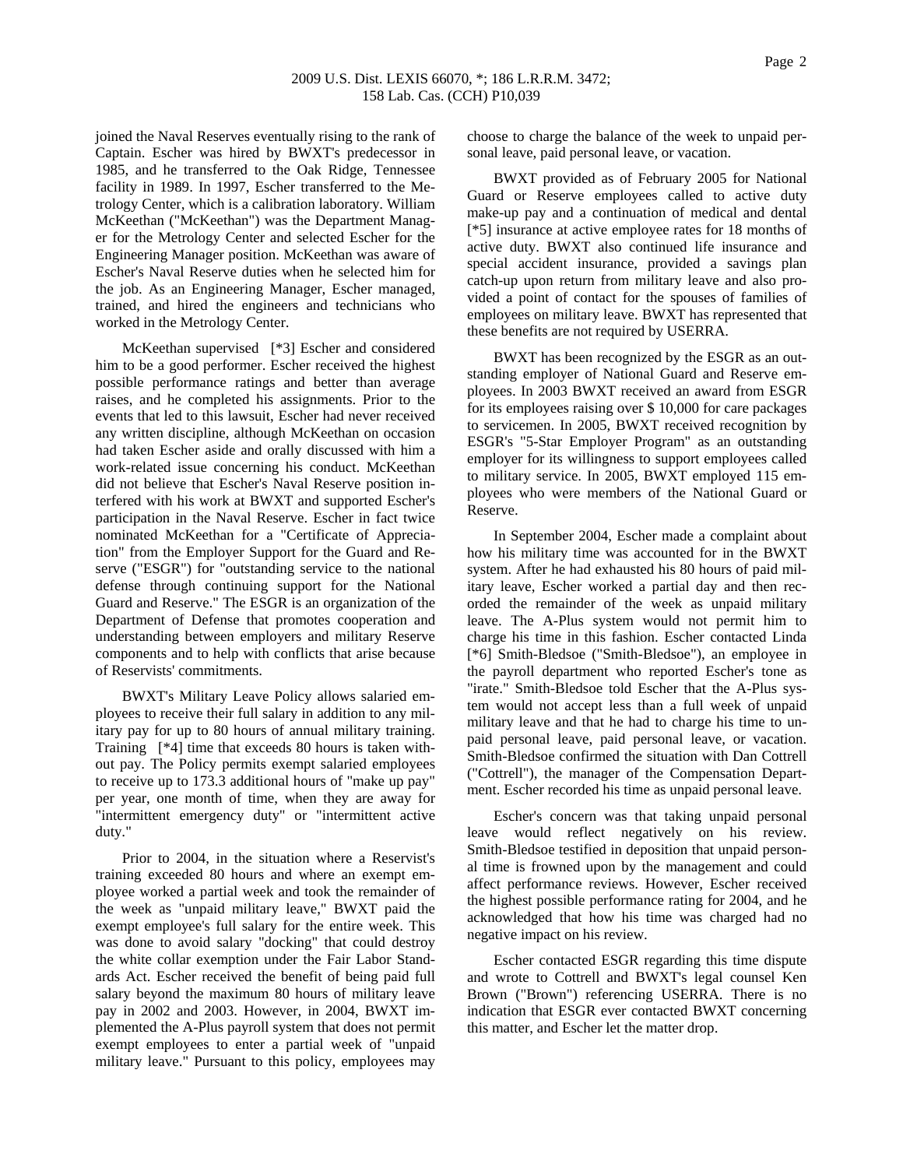joined the Naval Reserves eventually rising to the rank of Captain. Escher was hired by BWXT's predecessor in 1985, and he transferred to the Oak Ridge, Tennessee facility in 1989. In 1997, Escher transferred to the Metrology Center, which is a calibration laboratory. William McKeethan ("McKeethan") was the Department Manager for the Metrology Center and selected Escher for the Engineering Manager position. McKeethan was aware of Escher's Naval Reserve duties when he selected him for the job. As an Engineering Manager, Escher managed, trained, and hired the engineers and technicians who worked in the Metrology Center.

McKeethan supervised [\*3] Escher and considered him to be a good performer. Escher received the highest possible performance ratings and better than average raises, and he completed his assignments. Prior to the events that led to this lawsuit, Escher had never received any written discipline, although McKeethan on occasion had taken Escher aside and orally discussed with him a work-related issue concerning his conduct. McKeethan did not believe that Escher's Naval Reserve position interfered with his work at BWXT and supported Escher's participation in the Naval Reserve. Escher in fact twice nominated McKeethan for a "Certificate of Appreciation" from the Employer Support for the Guard and Reserve ("ESGR") for "outstanding service to the national defense through continuing support for the National Guard and Reserve." The ESGR is an organization of the Department of Defense that promotes cooperation and understanding between employers and military Reserve components and to help with conflicts that arise because of Reservists' commitments.

BWXT's Military Leave Policy allows salaried employees to receive their full salary in addition to any military pay for up to 80 hours of annual military training. Training [\*4] time that exceeds 80 hours is taken without pay. The Policy permits exempt salaried employees to receive up to 173.3 additional hours of "make up pay" per year, one month of time, when they are away for "intermittent emergency duty" or "intermittent active duty."

Prior to 2004, in the situation where a Reservist's training exceeded 80 hours and where an exempt employee worked a partial week and took the remainder of the week as "unpaid military leave," BWXT paid the exempt employee's full salary for the entire week. This was done to avoid salary "docking" that could destroy the white collar exemption under the Fair Labor Standards Act. Escher received the benefit of being paid full salary beyond the maximum 80 hours of military leave pay in 2002 and 2003. However, in 2004, BWXT implemented the A-Plus payroll system that does not permit exempt employees to enter a partial week of "unpaid military leave." Pursuant to this policy, employees may

choose to charge the balance of the week to unpaid personal leave, paid personal leave, or vacation.

BWXT provided as of February 2005 for National Guard or Reserve employees called to active duty make-up pay and a continuation of medical and dental [\*5] insurance at active employee rates for 18 months of active duty. BWXT also continued life insurance and special accident insurance, provided a savings plan catch-up upon return from military leave and also provided a point of contact for the spouses of families of employees on military leave. BWXT has represented that these benefits are not required by USERRA.

BWXT has been recognized by the ESGR as an outstanding employer of National Guard and Reserve employees. In 2003 BWXT received an award from ESGR for its employees raising over \$ 10,000 for care packages to servicemen. In 2005, BWXT received recognition by ESGR's "5-Star Employer Program" as an outstanding employer for its willingness to support employees called to military service. In 2005, BWXT employed 115 employees who were members of the National Guard or Reserve.

In September 2004, Escher made a complaint about how his military time was accounted for in the BWXT system. After he had exhausted his 80 hours of paid military leave, Escher worked a partial day and then recorded the remainder of the week as unpaid military leave. The A-Plus system would not permit him to charge his time in this fashion. Escher contacted Linda [\*6] Smith-Bledsoe ("Smith-Bledsoe"), an employee in the payroll department who reported Escher's tone as "irate." Smith-Bledsoe told Escher that the A-Plus system would not accept less than a full week of unpaid military leave and that he had to charge his time to unpaid personal leave, paid personal leave, or vacation. Smith-Bledsoe confirmed the situation with Dan Cottrell ("Cottrell"), the manager of the Compensation Department. Escher recorded his time as unpaid personal leave.

Escher's concern was that taking unpaid personal leave would reflect negatively on his review. Smith-Bledsoe testified in deposition that unpaid personal time is frowned upon by the management and could affect performance reviews. However, Escher received the highest possible performance rating for 2004, and he acknowledged that how his time was charged had no negative impact on his review.

Escher contacted ESGR regarding this time dispute and wrote to Cottrell and BWXT's legal counsel Ken Brown ("Brown") referencing USERRA. There is no indication that ESGR ever contacted BWXT concerning this matter, and Escher let the matter drop.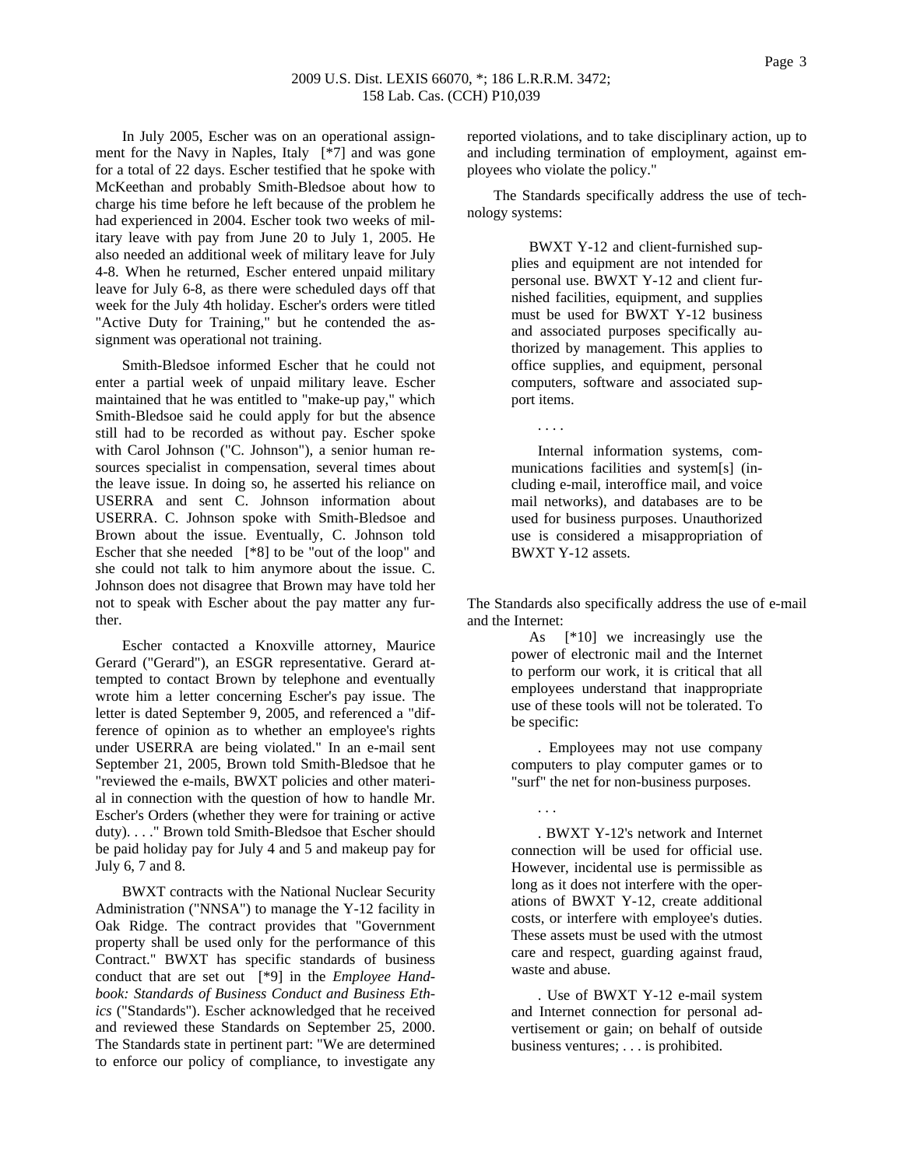In July 2005, Escher was on an operational assignment for the Navy in Naples, Italy [\*7] and was gone for a total of 22 days. Escher testified that he spoke with McKeethan and probably Smith-Bledsoe about how to charge his time before he left because of the problem he had experienced in 2004. Escher took two weeks of military leave with pay from June 20 to July 1, 2005. He also needed an additional week of military leave for July 4-8. When he returned, Escher entered unpaid military leave for July 6-8, as there were scheduled days off that week for the July 4th holiday. Escher's orders were titled "Active Duty for Training," but he contended the assignment was operational not training.

Smith-Bledsoe informed Escher that he could not enter a partial week of unpaid military leave. Escher maintained that he was entitled to "make-up pay," which Smith-Bledsoe said he could apply for but the absence still had to be recorded as without pay. Escher spoke with Carol Johnson ("C. Johnson"), a senior human resources specialist in compensation, several times about the leave issue. In doing so, he asserted his reliance on USERRA and sent C. Johnson information about USERRA. C. Johnson spoke with Smith-Bledsoe and Brown about the issue. Eventually, C. Johnson told Escher that she needed [\*8] to be "out of the loop" and she could not talk to him anymore about the issue. C. Johnson does not disagree that Brown may have told her not to speak with Escher about the pay matter any further.

Escher contacted a Knoxville attorney, Maurice Gerard ("Gerard"), an ESGR representative. Gerard attempted to contact Brown by telephone and eventually wrote him a letter concerning Escher's pay issue. The letter is dated September 9, 2005, and referenced a "difference of opinion as to whether an employee's rights under USERRA are being violated." In an e-mail sent September 21, 2005, Brown told Smith-Bledsoe that he "reviewed the e-mails, BWXT policies and other material in connection with the question of how to handle Mr. Escher's Orders (whether they were for training or active duty). . . ." Brown told Smith-Bledsoe that Escher should be paid holiday pay for July 4 and 5 and makeup pay for July 6, 7 and 8.

BWXT contracts with the National Nuclear Security Administration ("NNSA") to manage the Y-12 facility in Oak Ridge. The contract provides that "Government property shall be used only for the performance of this Contract." BWXT has specific standards of business conduct that are set out [\*9] in the *Employee Handbook: Standards of Business Conduct and Business Ethics* ("Standards"). Escher acknowledged that he received and reviewed these Standards on September 25, 2000. The Standards state in pertinent part: "We are determined to enforce our policy of compliance, to investigate any

reported violations, and to take disciplinary action, up to and including termination of employment, against employees who violate the policy."

The Standards specifically address the use of technology systems:

> BWXT Y-12 and client-furnished supplies and equipment are not intended for personal use. BWXT Y-12 and client furnished facilities, equipment, and supplies must be used for BWXT Y-12 business and associated purposes specifically authorized by management. This applies to office supplies, and equipment, personal computers, software and associated support items.

> Internal information systems, communications facilities and system[s] (including e-mail, interoffice mail, and voice mail networks), and databases are to be used for business purposes. Unauthorized use is considered a misappropriation of BWXT Y-12 assets.

. . . .

. . .

The Standards also specifically address the use of e-mail and the Internet:

> As [\*10] we increasingly use the power of electronic mail and the Internet to perform our work, it is critical that all employees understand that inappropriate use of these tools will not be tolerated. To be specific:

> . Employees may not use company computers to play computer games or to "surf" the net for non-business purposes.

> . BWXT Y-12's network and Internet connection will be used for official use. However, incidental use is permissible as long as it does not interfere with the operations of BWXT Y-12, create additional costs, or interfere with employee's duties. These assets must be used with the utmost care and respect, guarding against fraud, waste and abuse.

> . Use of BWXT Y-12 e-mail system and Internet connection for personal advertisement or gain; on behalf of outside business ventures; . . . is prohibited.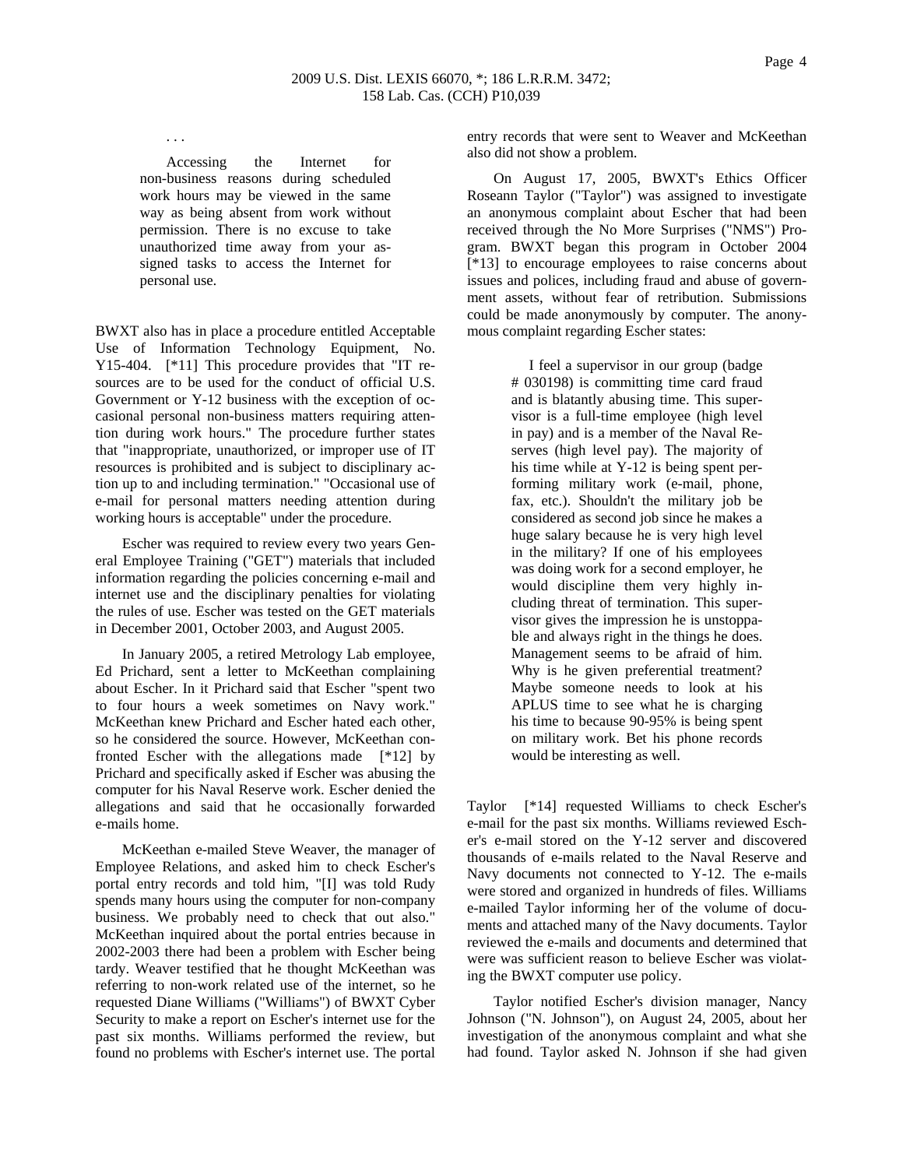. . .

Accessing the Internet for non-business reasons during scheduled work hours may be viewed in the same way as being absent from work without permission. There is no excuse to take unauthorized time away from your assigned tasks to access the Internet for personal use.

BWXT also has in place a procedure entitled Acceptable Use of Information Technology Equipment, No. Y15-404. [\*11] This procedure provides that "IT resources are to be used for the conduct of official U.S. Government or Y-12 business with the exception of occasional personal non-business matters requiring attention during work hours." The procedure further states that "inappropriate, unauthorized, or improper use of IT resources is prohibited and is subject to disciplinary action up to and including termination." "Occasional use of e-mail for personal matters needing attention during working hours is acceptable" under the procedure.

Escher was required to review every two years General Employee Training ("GET") materials that included information regarding the policies concerning e-mail and internet use and the disciplinary penalties for violating the rules of use. Escher was tested on the GET materials in December 2001, October 2003, and August 2005.

In January 2005, a retired Metrology Lab employee, Ed Prichard, sent a letter to McKeethan complaining about Escher. In it Prichard said that Escher "spent two to four hours a week sometimes on Navy work." McKeethan knew Prichard and Escher hated each other, so he considered the source. However, McKeethan confronted Escher with the allegations made [\*12] by Prichard and specifically asked if Escher was abusing the computer for his Naval Reserve work. Escher denied the allegations and said that he occasionally forwarded e-mails home.

McKeethan e-mailed Steve Weaver, the manager of Employee Relations, and asked him to check Escher's portal entry records and told him, "[I] was told Rudy spends many hours using the computer for non-company business. We probably need to check that out also." McKeethan inquired about the portal entries because in 2002-2003 there had been a problem with Escher being tardy. Weaver testified that he thought McKeethan was referring to non-work related use of the internet, so he requested Diane Williams ("Williams") of BWXT Cyber Security to make a report on Escher's internet use for the past six months. Williams performed the review, but found no problems with Escher's internet use. The portal

entry records that were sent to Weaver and McKeethan also did not show a problem.

On August 17, 2005, BWXT's Ethics Officer Roseann Taylor ("Taylor") was assigned to investigate an anonymous complaint about Escher that had been received through the No More Surprises ("NMS") Program. BWXT began this program in October 2004 [\*13] to encourage employees to raise concerns about issues and polices, including fraud and abuse of government assets, without fear of retribution. Submissions could be made anonymously by computer. The anonymous complaint regarding Escher states:

> I feel a supervisor in our group (badge # 030198) is committing time card fraud and is blatantly abusing time. This supervisor is a full-time employee (high level in pay) and is a member of the Naval Reserves (high level pay). The majority of his time while at Y-12 is being spent performing military work (e-mail, phone, fax, etc.). Shouldn't the military job be considered as second job since he makes a huge salary because he is very high level in the military? If one of his employees was doing work for a second employer, he would discipline them very highly including threat of termination. This supervisor gives the impression he is unstoppable and always right in the things he does. Management seems to be afraid of him. Why is he given preferential treatment? Maybe someone needs to look at his APLUS time to see what he is charging his time to because 90-95% is being spent on military work. Bet his phone records would be interesting as well.

Taylor [\*14] requested Williams to check Escher's e-mail for the past six months. Williams reviewed Escher's e-mail stored on the Y-12 server and discovered thousands of e-mails related to the Naval Reserve and Navy documents not connected to Y-12. The e-mails were stored and organized in hundreds of files. Williams e-mailed Taylor informing her of the volume of documents and attached many of the Navy documents. Taylor reviewed the e-mails and documents and determined that were was sufficient reason to believe Escher was violating the BWXT computer use policy.

Taylor notified Escher's division manager, Nancy Johnson ("N. Johnson"), on August 24, 2005, about her investigation of the anonymous complaint and what she had found. Taylor asked N. Johnson if she had given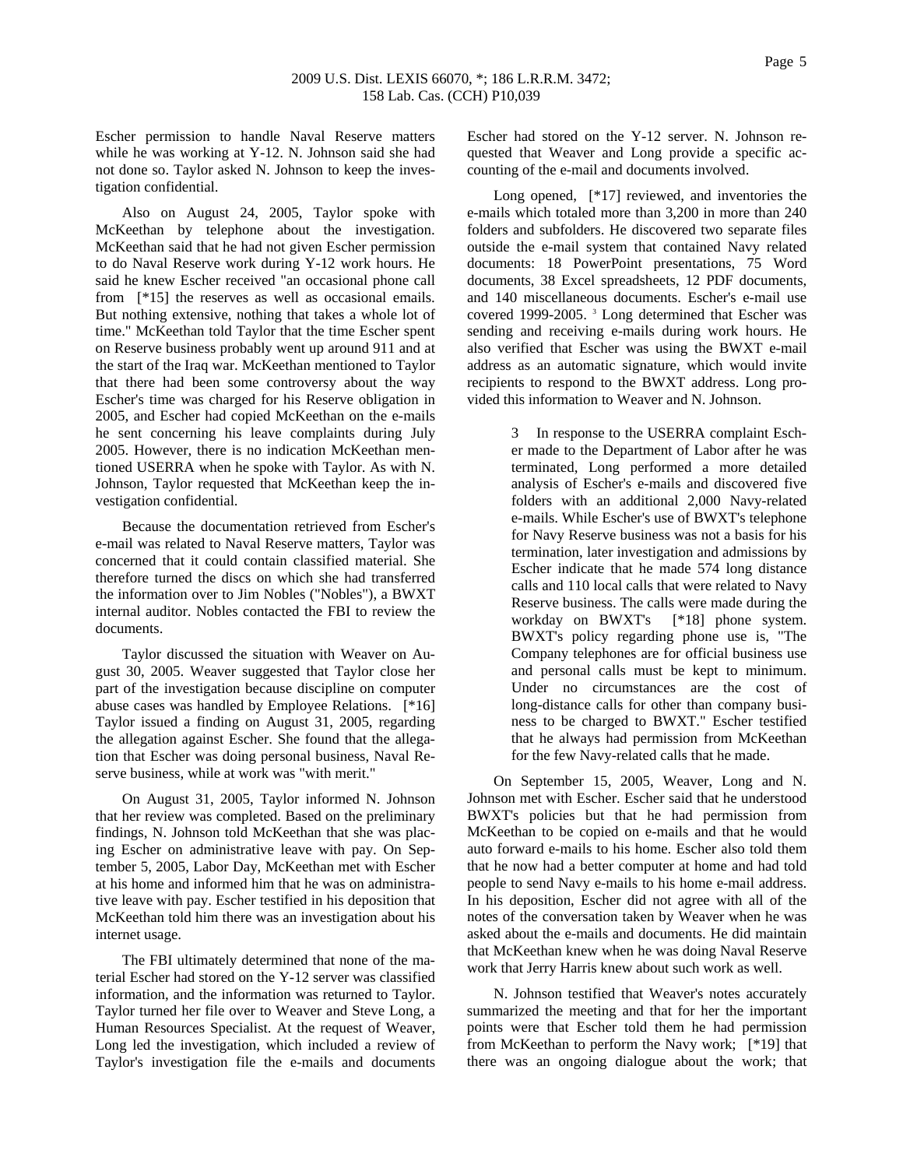Escher permission to handle Naval Reserve matters while he was working at Y-12. N. Johnson said she had not done so. Taylor asked N. Johnson to keep the investigation confidential.

Also on August 24, 2005, Taylor spoke with McKeethan by telephone about the investigation. McKeethan said that he had not given Escher permission to do Naval Reserve work during Y-12 work hours. He said he knew Escher received "an occasional phone call from [\*15] the reserves as well as occasional emails. But nothing extensive, nothing that takes a whole lot of time." McKeethan told Taylor that the time Escher spent on Reserve business probably went up around 911 and at the start of the Iraq war. McKeethan mentioned to Taylor that there had been some controversy about the way Escher's time was charged for his Reserve obligation in 2005, and Escher had copied McKeethan on the e-mails he sent concerning his leave complaints during July 2005. However, there is no indication McKeethan mentioned USERRA when he spoke with Taylor. As with N. Johnson, Taylor requested that McKeethan keep the investigation confidential.

Because the documentation retrieved from Escher's e-mail was related to Naval Reserve matters, Taylor was concerned that it could contain classified material. She therefore turned the discs on which she had transferred the information over to Jim Nobles ("Nobles"), a BWXT internal auditor. Nobles contacted the FBI to review the documents.

Taylor discussed the situation with Weaver on August 30, 2005. Weaver suggested that Taylor close her part of the investigation because discipline on computer abuse cases was handled by Employee Relations. [\*16] Taylor issued a finding on August 31, 2005, regarding the allegation against Escher. She found that the allegation that Escher was doing personal business, Naval Reserve business, while at work was "with merit."

On August 31, 2005, Taylor informed N. Johnson that her review was completed. Based on the preliminary findings, N. Johnson told McKeethan that she was placing Escher on administrative leave with pay. On September 5, 2005, Labor Day, McKeethan met with Escher at his home and informed him that he was on administrative leave with pay. Escher testified in his deposition that McKeethan told him there was an investigation about his internet usage.

The FBI ultimately determined that none of the material Escher had stored on the Y-12 server was classified information, and the information was returned to Taylor. Taylor turned her file over to Weaver and Steve Long, a Human Resources Specialist. At the request of Weaver, Long led the investigation, which included a review of Taylor's investigation file the e-mails and documents Escher had stored on the Y-12 server. N. Johnson requested that Weaver and Long provide a specific accounting of the e-mail and documents involved.

Long opened, [\*17] reviewed, and inventories the e-mails which totaled more than 3,200 in more than 240 folders and subfolders. He discovered two separate files outside the e-mail system that contained Navy related documents: 18 PowerPoint presentations, 75 Word documents, 38 Excel spreadsheets, 12 PDF documents, and 140 miscellaneous documents. Escher's e-mail use covered 1999-2005. 3 Long determined that Escher was sending and receiving e-mails during work hours. He also verified that Escher was using the BWXT e-mail address as an automatic signature, which would invite recipients to respond to the BWXT address. Long provided this information to Weaver and N. Johnson.

> 3 In response to the USERRA complaint Escher made to the Department of Labor after he was terminated, Long performed a more detailed analysis of Escher's e-mails and discovered five folders with an additional 2,000 Navy-related e-mails. While Escher's use of BWXT's telephone for Navy Reserve business was not a basis for his termination, later investigation and admissions by Escher indicate that he made 574 long distance calls and 110 local calls that were related to Navy Reserve business. The calls were made during the workday on BWXT's [\*18] phone system. BWXT's policy regarding phone use is, "The Company telephones are for official business use and personal calls must be kept to minimum. Under no circumstances are the cost of long-distance calls for other than company business to be charged to BWXT." Escher testified that he always had permission from McKeethan for the few Navy-related calls that he made.

On September 15, 2005, Weaver, Long and N. Johnson met with Escher. Escher said that he understood BWXT's policies but that he had permission from McKeethan to be copied on e-mails and that he would auto forward e-mails to his home. Escher also told them that he now had a better computer at home and had told people to send Navy e-mails to his home e-mail address. In his deposition, Escher did not agree with all of the notes of the conversation taken by Weaver when he was asked about the e-mails and documents. He did maintain that McKeethan knew when he was doing Naval Reserve work that Jerry Harris knew about such work as well.

N. Johnson testified that Weaver's notes accurately summarized the meeting and that for her the important points were that Escher told them he had permission from McKeethan to perform the Navy work; [\*19] that there was an ongoing dialogue about the work; that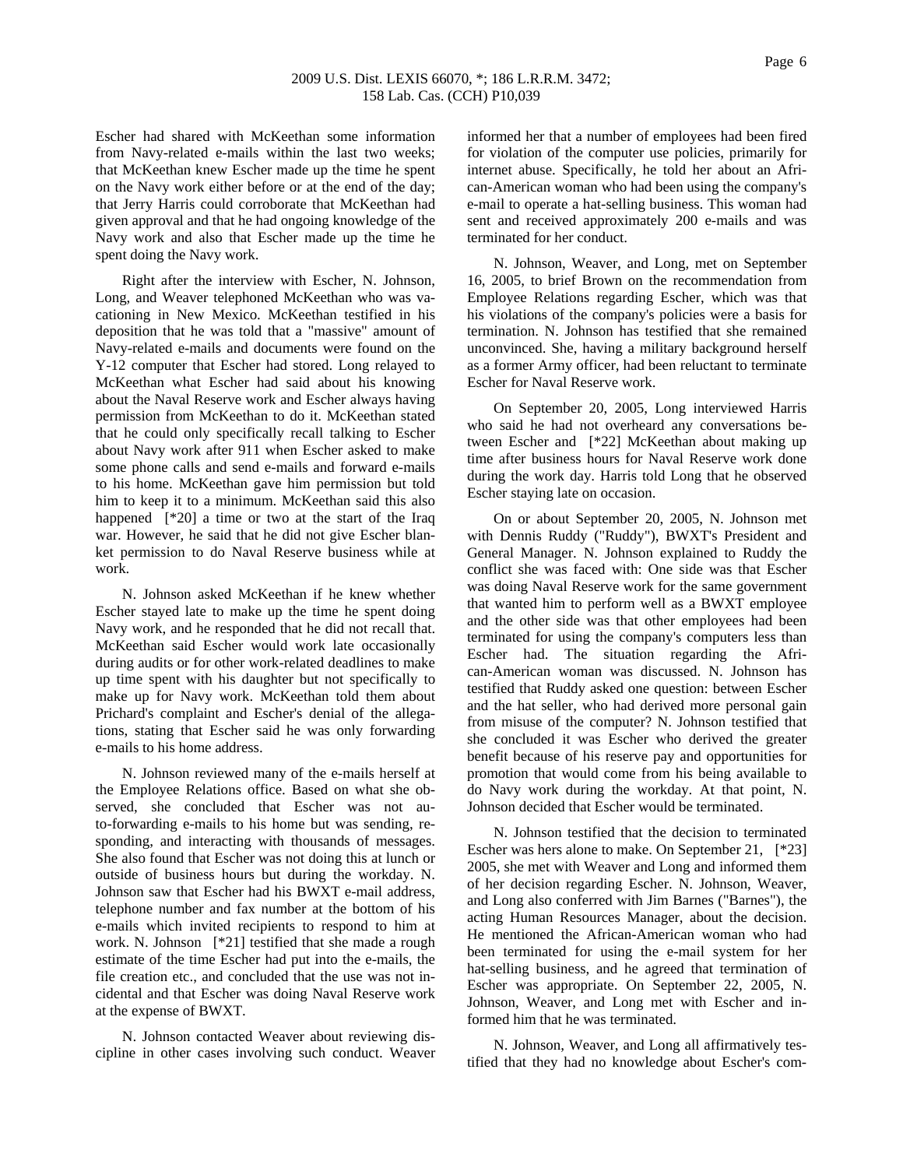### 2009 U.S. Dist. LEXIS 66070, \*; 186 L.R.R.M. 3472; 158 Lab. Cas. (CCH) P10,039

Escher had shared with McKeethan some information from Navy-related e-mails within the last two weeks; that McKeethan knew Escher made up the time he spent on the Navy work either before or at the end of the day; that Jerry Harris could corroborate that McKeethan had given approval and that he had ongoing knowledge of the Navy work and also that Escher made up the time he spent doing the Navy work.

Right after the interview with Escher, N. Johnson, Long, and Weaver telephoned McKeethan who was vacationing in New Mexico. McKeethan testified in his deposition that he was told that a "massive" amount of Navy-related e-mails and documents were found on the Y-12 computer that Escher had stored. Long relayed to McKeethan what Escher had said about his knowing about the Naval Reserve work and Escher always having permission from McKeethan to do it. McKeethan stated that he could only specifically recall talking to Escher about Navy work after 911 when Escher asked to make some phone calls and send e-mails and forward e-mails to his home. McKeethan gave him permission but told him to keep it to a minimum. McKeethan said this also happened [\*20] a time or two at the start of the Iraq war. However, he said that he did not give Escher blanket permission to do Naval Reserve business while at work.

N. Johnson asked McKeethan if he knew whether Escher stayed late to make up the time he spent doing Navy work, and he responded that he did not recall that. McKeethan said Escher would work late occasionally during audits or for other work-related deadlines to make up time spent with his daughter but not specifically to make up for Navy work. McKeethan told them about Prichard's complaint and Escher's denial of the allegations, stating that Escher said he was only forwarding e-mails to his home address.

N. Johnson reviewed many of the e-mails herself at the Employee Relations office. Based on what she observed, she concluded that Escher was not auto-forwarding e-mails to his home but was sending, responding, and interacting with thousands of messages. She also found that Escher was not doing this at lunch or outside of business hours but during the workday. N. Johnson saw that Escher had his BWXT e-mail address, telephone number and fax number at the bottom of his e-mails which invited recipients to respond to him at work. N. Johnson [\*21] testified that she made a rough estimate of the time Escher had put into the e-mails, the file creation etc., and concluded that the use was not incidental and that Escher was doing Naval Reserve work at the expense of BWXT.

N. Johnson contacted Weaver about reviewing discipline in other cases involving such conduct. Weaver informed her that a number of employees had been fired for violation of the computer use policies, primarily for internet abuse. Specifically, he told her about an African-American woman who had been using the company's e-mail to operate a hat-selling business. This woman had sent and received approximately 200 e-mails and was terminated for her conduct.

N. Johnson, Weaver, and Long, met on September 16, 2005, to brief Brown on the recommendation from Employee Relations regarding Escher, which was that his violations of the company's policies were a basis for termination. N. Johnson has testified that she remained unconvinced. She, having a military background herself as a former Army officer, had been reluctant to terminate Escher for Naval Reserve work.

On September 20, 2005, Long interviewed Harris who said he had not overheard any conversations between Escher and [\*22] McKeethan about making up time after business hours for Naval Reserve work done during the work day. Harris told Long that he observed Escher staying late on occasion.

On or about September 20, 2005, N. Johnson met with Dennis Ruddy ("Ruddy"), BWXT's President and General Manager. N. Johnson explained to Ruddy the conflict she was faced with: One side was that Escher was doing Naval Reserve work for the same government that wanted him to perform well as a BWXT employee and the other side was that other employees had been terminated for using the company's computers less than Escher had. The situation regarding the African-American woman was discussed. N. Johnson has testified that Ruddy asked one question: between Escher and the hat seller, who had derived more personal gain from misuse of the computer? N. Johnson testified that she concluded it was Escher who derived the greater benefit because of his reserve pay and opportunities for promotion that would come from his being available to do Navy work during the workday. At that point, N. Johnson decided that Escher would be terminated.

N. Johnson testified that the decision to terminated Escher was hers alone to make. On September 21, [\*23] 2005, she met with Weaver and Long and informed them of her decision regarding Escher. N. Johnson, Weaver, and Long also conferred with Jim Barnes ("Barnes"), the acting Human Resources Manager, about the decision. He mentioned the African-American woman who had been terminated for using the e-mail system for her hat-selling business, and he agreed that termination of Escher was appropriate. On September 22, 2005, N. Johnson, Weaver, and Long met with Escher and informed him that he was terminated.

N. Johnson, Weaver, and Long all affirmatively testified that they had no knowledge about Escher's com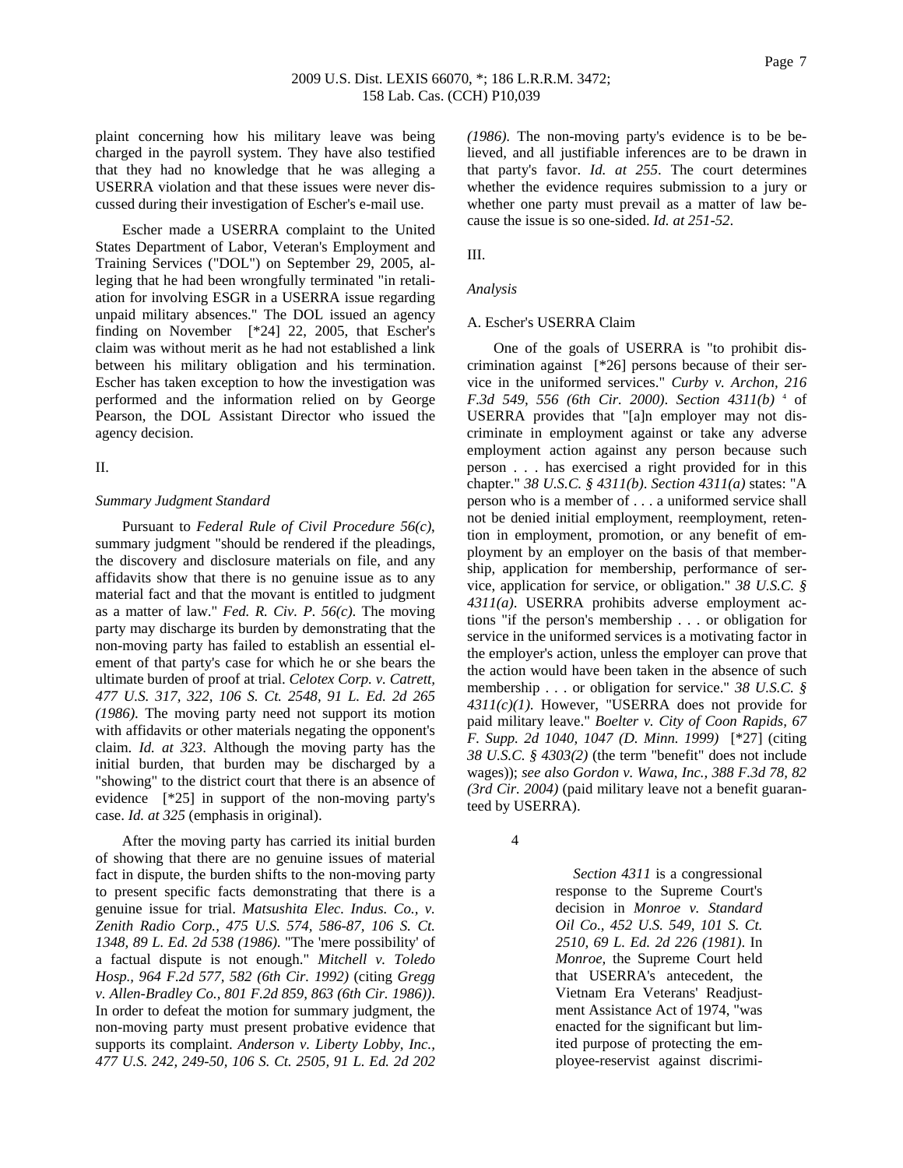plaint concerning how his military leave was being charged in the payroll system. They have also testified that they had no knowledge that he was alleging a USERRA violation and that these issues were never discussed during their investigation of Escher's e-mail use.

Escher made a USERRA complaint to the United States Department of Labor, Veteran's Employment and Training Services ("DOL") on September 29, 2005, alleging that he had been wrongfully terminated "in retaliation for involving ESGR in a USERRA issue regarding unpaid military absences." The DOL issued an agency finding on November [\*24] 22, 2005, that Escher's claim was without merit as he had not established a link between his military obligation and his termination. Escher has taken exception to how the investigation was performed and the information relied on by George Pearson, the DOL Assistant Director who issued the agency decision.

### II.

#### *Summary Judgment Standard*

Pursuant to *Federal Rule of Civil Procedure 56(c)*, summary judgment "should be rendered if the pleadings, the discovery and disclosure materials on file, and any affidavits show that there is no genuine issue as to any material fact and that the movant is entitled to judgment as a matter of law." *Fed. R. Civ. P. 56(c)*. The moving party may discharge its burden by demonstrating that the non-moving party has failed to establish an essential element of that party's case for which he or she bears the ultimate burden of proof at trial. *Celotex Corp. v. Catrett, 477 U.S. 317, 322, 106 S. Ct. 2548, 91 L. Ed. 2d 265 (1986)*. The moving party need not support its motion with affidavits or other materials negating the opponent's claim. *Id. at 323*. Although the moving party has the initial burden, that burden may be discharged by a "showing" to the district court that there is an absence of evidence [\*25] in support of the non-moving party's case. *Id. at 325* (emphasis in original).

After the moving party has carried its initial burden of showing that there are no genuine issues of material fact in dispute, the burden shifts to the non-moving party to present specific facts demonstrating that there is a genuine issue for trial. *Matsushita Elec. Indus. Co., v. Zenith Radio Corp., 475 U.S. 574, 586-87, 106 S. Ct. 1348, 89 L. Ed. 2d 538 (1986)*. "The 'mere possibility' of a factual dispute is not enough." *Mitchell v. Toledo Hosp., 964 F.2d 577, 582 (6th Cir. 1992)* (citing *Gregg v. Allen-Bradley Co., 801 F.2d 859, 863 (6th Cir. 1986))*. In order to defeat the motion for summary judgment, the non-moving party must present probative evidence that supports its complaint. *Anderson v. Liberty Lobby, Inc., 477 U.S. 242, 249-50, 106 S. Ct. 2505, 91 L. Ed. 2d 202* 

*(1986)*. The non-moving party's evidence is to be believed, and all justifiable inferences are to be drawn in that party's favor. *Id. at 255*. The court determines whether the evidence requires submission to a jury or whether one party must prevail as a matter of law because the issue is so one-sided. *Id. at 251-52*.

III.

## *Analysis*

#### A. Escher's USERRA Claim

One of the goals of USERRA is "to prohibit discrimination against [\*26] persons because of their service in the uniformed services." *Curby v. Archon, 216 F.3d 549, 556 (6th Cir. 2000)*. *Section 4311(b)* <sup>4</sup> of USERRA provides that "[a]n employer may not discriminate in employment against or take any adverse employment action against any person because such person . . . has exercised a right provided for in this chapter." *38 U.S.C. § 4311(b)*. *Section 4311(a)* states: "A person who is a member of . . . a uniformed service shall not be denied initial employment, reemployment, retention in employment, promotion, or any benefit of employment by an employer on the basis of that membership, application for membership, performance of service, application for service, or obligation." *38 U.S.C. § 4311(a)*. USERRA prohibits adverse employment actions "if the person's membership . . . or obligation for service in the uniformed services is a motivating factor in the employer's action, unless the employer can prove that the action would have been taken in the absence of such membership . . . or obligation for service." *38 U.S.C. § 4311(c)(1)*. However, "USERRA does not provide for paid military leave." *Boelter v. City of Coon Rapids, 67 F. Supp. 2d 1040, 1047 (D. Minn. 1999)* [\*27] (citing *38 U.S.C. § 4303(2)* (the term "benefit" does not include wages)); *see also Gordon v. Wawa, Inc., 388 F.3d 78, 82 (3rd Cir. 2004)* (paid military leave not a benefit guaranteed by USERRA).

4

 *Section 4311* is a congressional response to the Supreme Court's decision in *Monroe v. Standard Oil Co., 452 U.S. 549, 101 S. Ct. 2510, 69 L. Ed. 2d 226 (1981)*. In *Monroe,* the Supreme Court held that USERRA's antecedent, the Vietnam Era Veterans' Readjustment Assistance Act of 1974, "was enacted for the significant but limited purpose of protecting the employee-reservist against discrimi-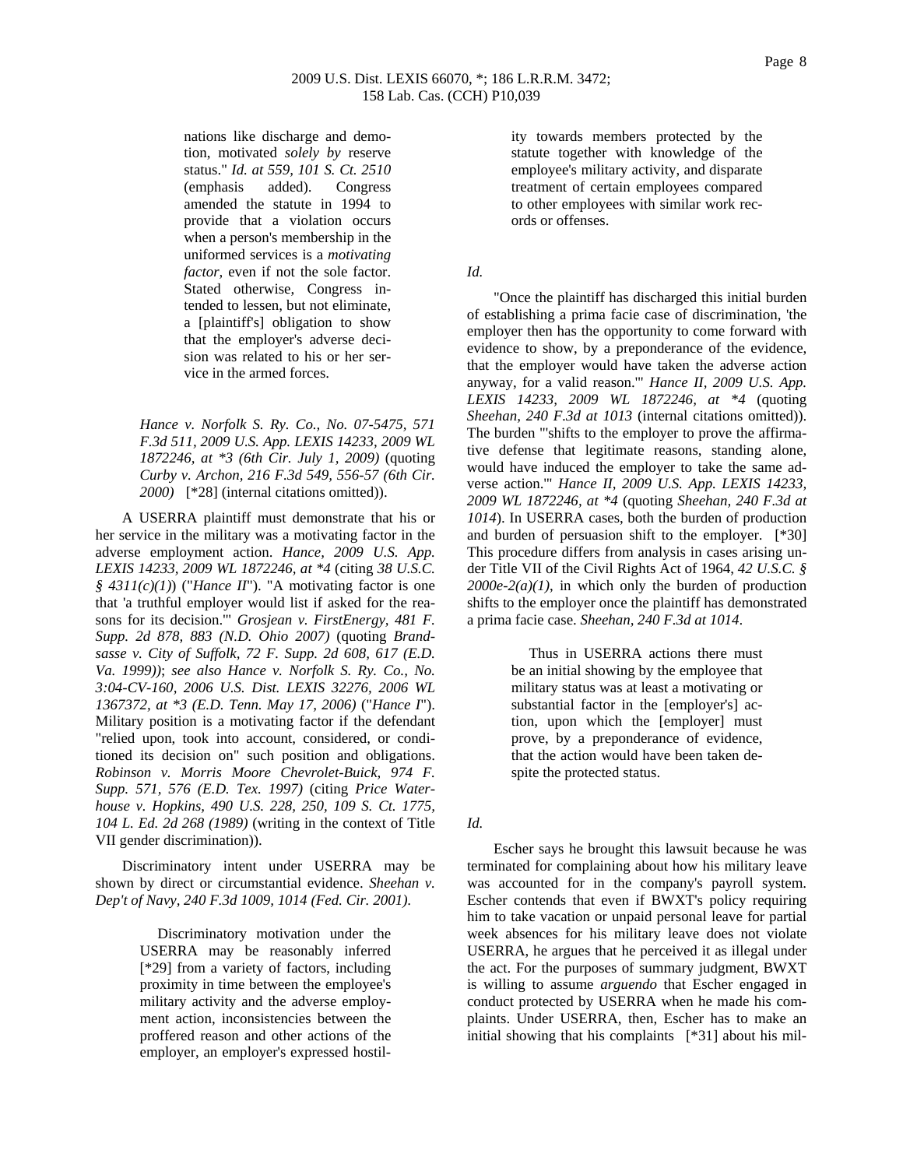nations like discharge and demotion, motivated *solely by* reserve status." *Id. at 559, 101 S. Ct. 2510* (emphasis added). Congress amended the statute in 1994 to provide that a violation occurs when a person's membership in the uniformed services is a *motivating factor,* even if not the sole factor. Stated otherwise, Congress intended to lessen, but not eliminate, a [plaintiff's] obligation to show that the employer's adverse decision was related to his or her service in the armed forces.

*Hance v. Norfolk S. Ry. Co., No. 07-5475, 571 F.3d 511, 2009 U.S. App. LEXIS 14233, 2009 WL 1872246, at \*3 (6th Cir. July 1, 2009)* (quoting *Curby v. Archon, 216 F.3d 549, 556-57 (6th Cir. 2000)* [\*28] (internal citations omitted)).

A USERRA plaintiff must demonstrate that his or her service in the military was a motivating factor in the adverse employment action. *Hance, 2009 U.S. App. LEXIS 14233, 2009 WL 1872246, at \*4* (citing *38 U.S.C. § 4311(c)(1)*) ("*Hance II*"). "A motivating factor is one that 'a truthful employer would list if asked for the reasons for its decision.'" *Grosjean v. FirstEnergy, 481 F. Supp. 2d 878, 883 (N.D. Ohio 2007)* (quoting *Brandsasse v. City of Suffolk, 72 F. Supp. 2d 608, 617 (E.D. Va. 1999))*; *see also Hance v. Norfolk S. Ry. Co., No. 3:04-CV-160, 2006 U.S. Dist. LEXIS 32276, 2006 WL 1367372, at \*3 (E.D. Tenn. May 17, 2006)* ("*Hance I*"). Military position is a motivating factor if the defendant "relied upon, took into account, considered, or conditioned its decision on" such position and obligations. *Robinson v. Morris Moore Chevrolet-Buick, 974 F. Supp. 571, 576 (E.D. Tex. 1997)* (citing *Price Waterhouse v. Hopkins, 490 U.S. 228, 250, 109 S. Ct. 1775, 104 L. Ed. 2d 268 (1989)* (writing in the context of Title VII gender discrimination)).

Discriminatory intent under USERRA may be shown by direct or circumstantial evidence. *Sheehan v. Dep't of Navy, 240 F.3d 1009, 1014 (Fed. Cir. 2001)*.

> Discriminatory motivation under the USERRA may be reasonably inferred [\*29] from a variety of factors, including proximity in time between the employee's military activity and the adverse employment action, inconsistencies between the proffered reason and other actions of the employer, an employer's expressed hostil

ity towards members protected by the statute together with knowledge of the employee's military activity, and disparate treatment of certain employees compared to other employees with similar work records or offenses.

### *Id.*

"Once the plaintiff has discharged this initial burden of establishing a prima facie case of discrimination, 'the employer then has the opportunity to come forward with evidence to show, by a preponderance of the evidence, that the employer would have taken the adverse action anyway, for a valid reason.'" *Hance II, 2009 U.S. App. LEXIS 14233, 2009 WL 1872246, at \*4* (quoting *Sheehan, 240 F.3d at 1013* (internal citations omitted)). The burden "'shifts to the employer to prove the affirmative defense that legitimate reasons, standing alone, would have induced the employer to take the same adverse action.'" *Hance II, 2009 U.S. App. LEXIS 14233, 2009 WL 1872246, at \*4* (quoting *Sheehan, 240 F.3d at 1014*). In USERRA cases, both the burden of production and burden of persuasion shift to the employer. [\*30] This procedure differs from analysis in cases arising under Title VII of the Civil Rights Act of 1964, *42 U.S.C. § 2000e-2(a)(1)*, in which only the burden of production shifts to the employer once the plaintiff has demonstrated a prima facie case. *Sheehan, 240 F.3d at 1014*.

> Thus in USERRA actions there must be an initial showing by the employee that military status was at least a motivating or substantial factor in the [employer's] action, upon which the [employer] must prove, by a preponderance of evidence, that the action would have been taken despite the protected status.

## *Id.*

Escher says he brought this lawsuit because he was terminated for complaining about how his military leave was accounted for in the company's payroll system. Escher contends that even if BWXT's policy requiring him to take vacation or unpaid personal leave for partial week absences for his military leave does not violate USERRA, he argues that he perceived it as illegal under the act. For the purposes of summary judgment, BWXT is willing to assume *arguendo* that Escher engaged in conduct protected by USERRA when he made his complaints. Under USERRA, then, Escher has to make an initial showing that his complaints [\*31] about his mil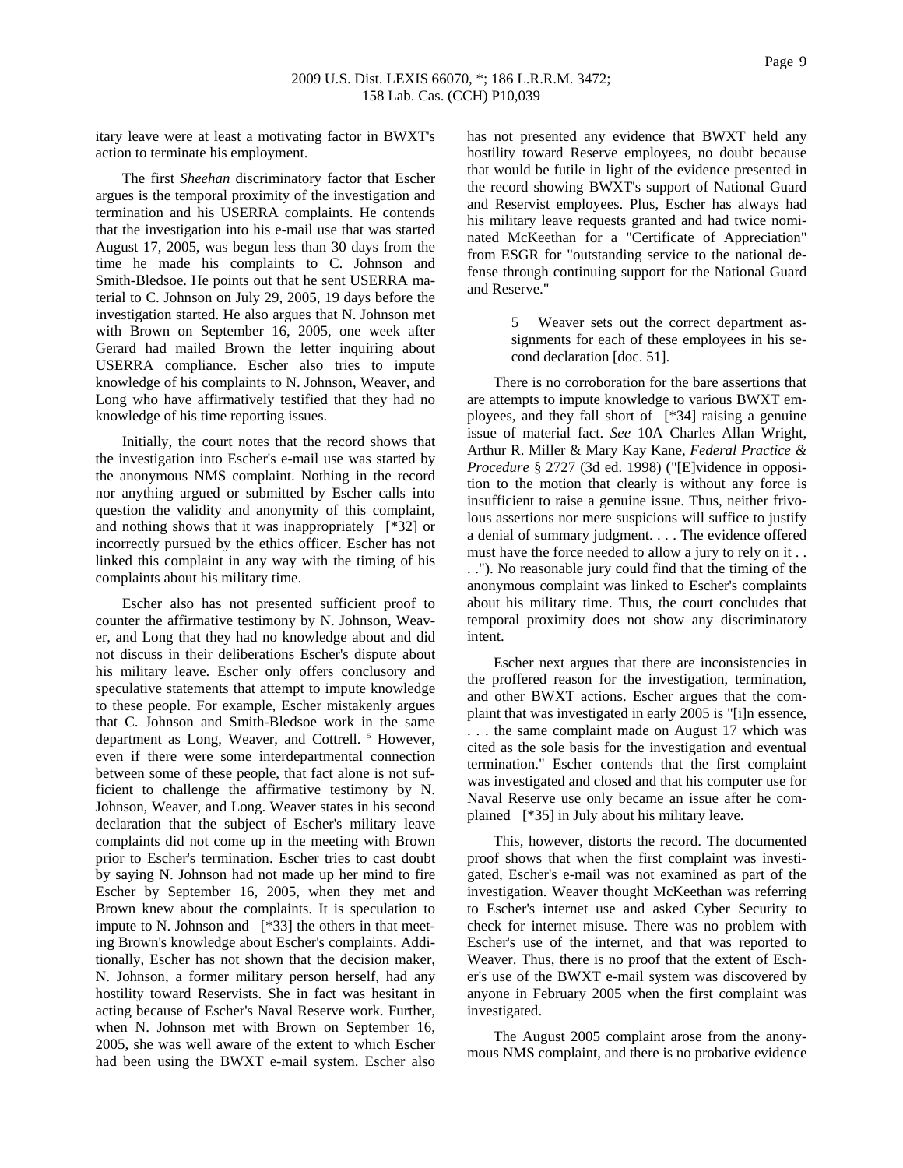itary leave were at least a motivating factor in BWXT's action to terminate his employment.

The first *Sheehan* discriminatory factor that Escher argues is the temporal proximity of the investigation and termination and his USERRA complaints. He contends that the investigation into his e-mail use that was started August 17, 2005, was begun less than 30 days from the time he made his complaints to C. Johnson and Smith-Bledsoe. He points out that he sent USERRA material to C. Johnson on July 29, 2005, 19 days before the investigation started. He also argues that N. Johnson met with Brown on September 16, 2005, one week after Gerard had mailed Brown the letter inquiring about USERRA compliance. Escher also tries to impute knowledge of his complaints to N. Johnson, Weaver, and Long who have affirmatively testified that they had no knowledge of his time reporting issues.

Initially, the court notes that the record shows that the investigation into Escher's e-mail use was started by the anonymous NMS complaint. Nothing in the record nor anything argued or submitted by Escher calls into question the validity and anonymity of this complaint, and nothing shows that it was inappropriately [\*32] or incorrectly pursued by the ethics officer. Escher has not linked this complaint in any way with the timing of his complaints about his military time.

Escher also has not presented sufficient proof to counter the affirmative testimony by N. Johnson, Weaver, and Long that they had no knowledge about and did not discuss in their deliberations Escher's dispute about his military leave. Escher only offers conclusory and speculative statements that attempt to impute knowledge to these people. For example, Escher mistakenly argues that C. Johnson and Smith-Bledsoe work in the same department as Long, Weaver, and Cottrell.<sup>5</sup> However, even if there were some interdepartmental connection between some of these people, that fact alone is not sufficient to challenge the affirmative testimony by N. Johnson, Weaver, and Long. Weaver states in his second declaration that the subject of Escher's military leave complaints did not come up in the meeting with Brown prior to Escher's termination. Escher tries to cast doubt by saying N. Johnson had not made up her mind to fire Escher by September 16, 2005, when they met and Brown knew about the complaints. It is speculation to impute to N. Johnson and [\*33] the others in that meeting Brown's knowledge about Escher's complaints. Additionally, Escher has not shown that the decision maker, N. Johnson, a former military person herself, had any hostility toward Reservists. She in fact was hesitant in acting because of Escher's Naval Reserve work. Further, when N. Johnson met with Brown on September 16, 2005, she was well aware of the extent to which Escher had been using the BWXT e-mail system. Escher also

has not presented any evidence that BWXT held any hostility toward Reserve employees, no doubt because that would be futile in light of the evidence presented in the record showing BWXT's support of National Guard and Reservist employees. Plus, Escher has always had his military leave requests granted and had twice nominated McKeethan for a "Certificate of Appreciation" from ESGR for "outstanding service to the national defense through continuing support for the National Guard and Reserve."

> 5 Weaver sets out the correct department assignments for each of these employees in his second declaration [doc. 51].

There is no corroboration for the bare assertions that are attempts to impute knowledge to various BWXT employees, and they fall short of [\*34] raising a genuine issue of material fact. *See* 10A Charles Allan Wright, Arthur R. Miller & Mary Kay Kane, *Federal Practice & Procedure* § 2727 (3d ed. 1998) ("[E]vidence in opposition to the motion that clearly is without any force is insufficient to raise a genuine issue. Thus, neither frivolous assertions nor mere suspicions will suffice to justify a denial of summary judgment. . . . The evidence offered must have the force needed to allow a jury to rely on it . . . ."). No reasonable jury could find that the timing of the anonymous complaint was linked to Escher's complaints about his military time. Thus, the court concludes that temporal proximity does not show any discriminatory intent.

Escher next argues that there are inconsistencies in the proffered reason for the investigation, termination, and other BWXT actions. Escher argues that the complaint that was investigated in early 2005 is "[i]n essence, . . . the same complaint made on August 17 which was cited as the sole basis for the investigation and eventual termination." Escher contends that the first complaint was investigated and closed and that his computer use for Naval Reserve use only became an issue after he complained [\*35] in July about his military leave.

This, however, distorts the record. The documented proof shows that when the first complaint was investigated, Escher's e-mail was not examined as part of the investigation. Weaver thought McKeethan was referring to Escher's internet use and asked Cyber Security to check for internet misuse. There was no problem with Escher's use of the internet, and that was reported to Weaver. Thus, there is no proof that the extent of Escher's use of the BWXT e-mail system was discovered by anyone in February 2005 when the first complaint was investigated.

The August 2005 complaint arose from the anonymous NMS complaint, and there is no probative evidence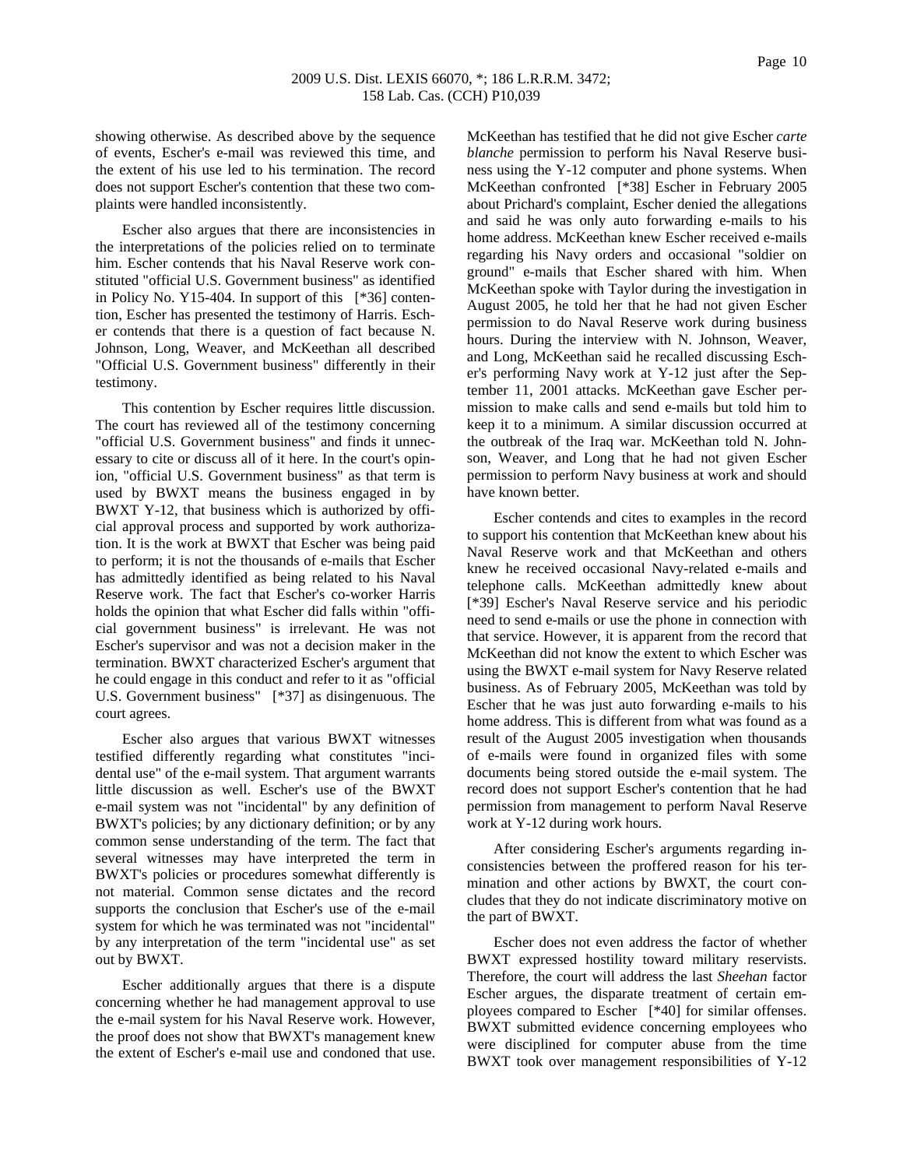showing otherwise. As described above by the sequence of events, Escher's e-mail was reviewed this time, and the extent of his use led to his termination. The record does not support Escher's contention that these two complaints were handled inconsistently.

Escher also argues that there are inconsistencies in the interpretations of the policies relied on to terminate him. Escher contends that his Naval Reserve work constituted "official U.S. Government business" as identified in Policy No. Y15-404. In support of this [\*36] contention, Escher has presented the testimony of Harris. Escher contends that there is a question of fact because N. Johnson, Long, Weaver, and McKeethan all described "Official U.S. Government business" differently in their testimony.

This contention by Escher requires little discussion. The court has reviewed all of the testimony concerning "official U.S. Government business" and finds it unnecessary to cite or discuss all of it here. In the court's opinion, "official U.S. Government business" as that term is used by BWXT means the business engaged in by BWXT Y-12, that business which is authorized by official approval process and supported by work authorization. It is the work at BWXT that Escher was being paid to perform; it is not the thousands of e-mails that Escher has admittedly identified as being related to his Naval Reserve work. The fact that Escher's co-worker Harris holds the opinion that what Escher did falls within "official government business" is irrelevant. He was not Escher's supervisor and was not a decision maker in the termination. BWXT characterized Escher's argument that he could engage in this conduct and refer to it as "official U.S. Government business" [\*37] as disingenuous. The court agrees.

Escher also argues that various BWXT witnesses testified differently regarding what constitutes "incidental use" of the e-mail system. That argument warrants little discussion as well. Escher's use of the BWXT e-mail system was not "incidental" by any definition of BWXT's policies; by any dictionary definition; or by any common sense understanding of the term. The fact that several witnesses may have interpreted the term in BWXT's policies or procedures somewhat differently is not material. Common sense dictates and the record supports the conclusion that Escher's use of the e-mail system for which he was terminated was not "incidental" by any interpretation of the term "incidental use" as set out by BWXT.

Escher additionally argues that there is a dispute concerning whether he had management approval to use the e-mail system for his Naval Reserve work. However, the proof does not show that BWXT's management knew the extent of Escher's e-mail use and condoned that use. McKeethan has testified that he did not give Escher *carte blanche* permission to perform his Naval Reserve business using the Y-12 computer and phone systems. When McKeethan confronted [\*38] Escher in February 2005 about Prichard's complaint, Escher denied the allegations and said he was only auto forwarding e-mails to his home address. McKeethan knew Escher received e-mails regarding his Navy orders and occasional "soldier on ground" e-mails that Escher shared with him. When McKeethan spoke with Taylor during the investigation in August 2005, he told her that he had not given Escher permission to do Naval Reserve work during business hours. During the interview with N. Johnson, Weaver, and Long, McKeethan said he recalled discussing Escher's performing Navy work at Y-12 just after the September 11, 2001 attacks. McKeethan gave Escher permission to make calls and send e-mails but told him to keep it to a minimum. A similar discussion occurred at the outbreak of the Iraq war. McKeethan told N. Johnson, Weaver, and Long that he had not given Escher permission to perform Navy business at work and should have known better.

Escher contends and cites to examples in the record to support his contention that McKeethan knew about his Naval Reserve work and that McKeethan and others knew he received occasional Navy-related e-mails and telephone calls. McKeethan admittedly knew about [\*39] Escher's Naval Reserve service and his periodic need to send e-mails or use the phone in connection with that service. However, it is apparent from the record that McKeethan did not know the extent to which Escher was using the BWXT e-mail system for Navy Reserve related business. As of February 2005, McKeethan was told by Escher that he was just auto forwarding e-mails to his home address. This is different from what was found as a result of the August 2005 investigation when thousands of e-mails were found in organized files with some documents being stored outside the e-mail system. The record does not support Escher's contention that he had permission from management to perform Naval Reserve work at Y-12 during work hours.

After considering Escher's arguments regarding inconsistencies between the proffered reason for his termination and other actions by BWXT, the court concludes that they do not indicate discriminatory motive on the part of BWXT.

Escher does not even address the factor of whether BWXT expressed hostility toward military reservists. Therefore, the court will address the last *Sheehan* factor Escher argues, the disparate treatment of certain employees compared to Escher [\*40] for similar offenses. BWXT submitted evidence concerning employees who were disciplined for computer abuse from the time BWXT took over management responsibilities of Y-12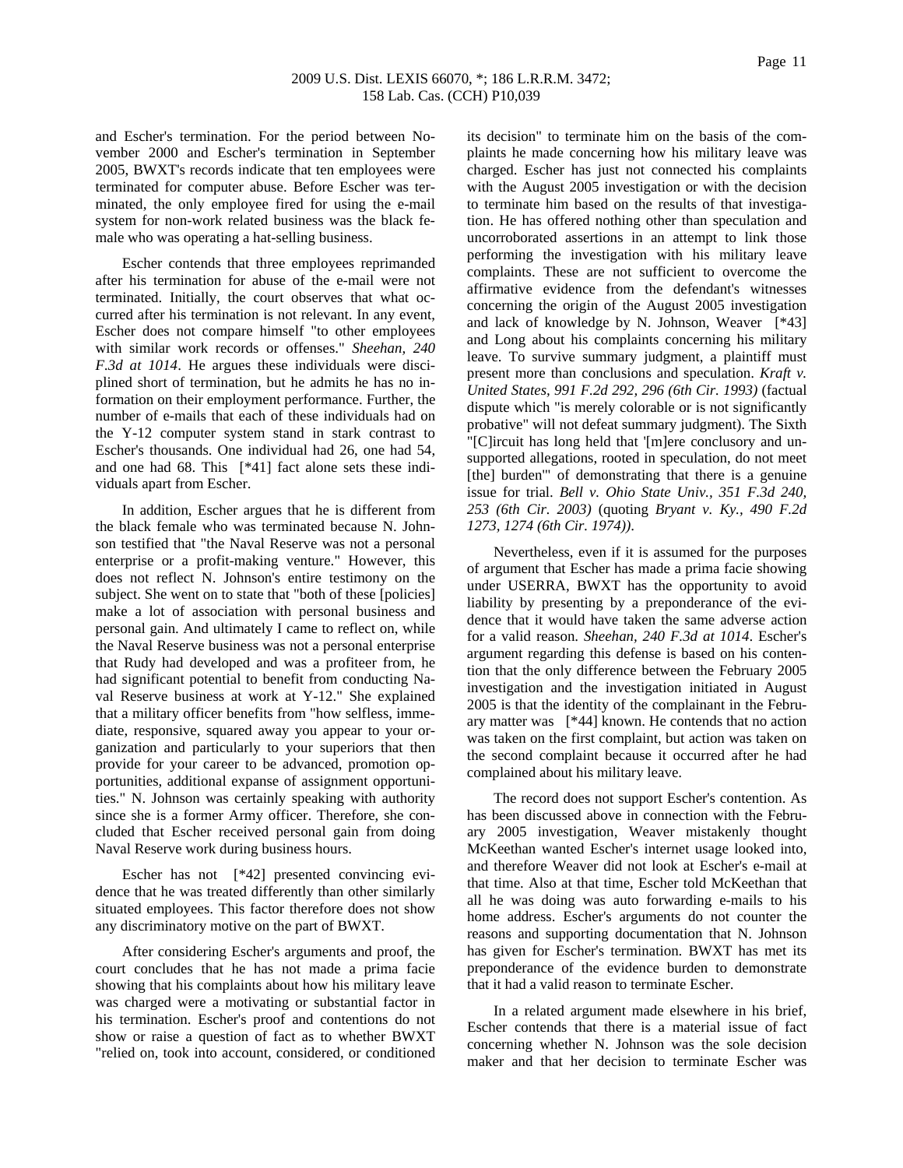and Escher's termination. For the period between November 2000 and Escher's termination in September 2005, BWXT's records indicate that ten employees were terminated for computer abuse. Before Escher was terminated, the only employee fired for using the e-mail system for non-work related business was the black female who was operating a hat-selling business.

Escher contends that three employees reprimanded after his termination for abuse of the e-mail were not terminated. Initially, the court observes that what occurred after his termination is not relevant. In any event, Escher does not compare himself "to other employees with similar work records or offenses." *Sheehan, 240 F.3d at 1014*. He argues these individuals were disciplined short of termination, but he admits he has no information on their employment performance. Further, the number of e-mails that each of these individuals had on the Y-12 computer system stand in stark contrast to Escher's thousands. One individual had 26, one had 54, and one had 68. This [\*41] fact alone sets these individuals apart from Escher.

In addition, Escher argues that he is different from the black female who was terminated because N. Johnson testified that "the Naval Reserve was not a personal enterprise or a profit-making venture." However, this does not reflect N. Johnson's entire testimony on the subject. She went on to state that "both of these [policies] make a lot of association with personal business and personal gain. And ultimately I came to reflect on, while the Naval Reserve business was not a personal enterprise that Rudy had developed and was a profiteer from, he had significant potential to benefit from conducting Naval Reserve business at work at Y-12." She explained that a military officer benefits from "how selfless, immediate, responsive, squared away you appear to your organization and particularly to your superiors that then provide for your career to be advanced, promotion opportunities, additional expanse of assignment opportunities." N. Johnson was certainly speaking with authority since she is a former Army officer. Therefore, she concluded that Escher received personal gain from doing Naval Reserve work during business hours.

Escher has not [\*42] presented convincing evidence that he was treated differently than other similarly situated employees. This factor therefore does not show any discriminatory motive on the part of BWXT.

After considering Escher's arguments and proof, the court concludes that he has not made a prima facie showing that his complaints about how his military leave was charged were a motivating or substantial factor in his termination. Escher's proof and contentions do not show or raise a question of fact as to whether BWXT "relied on, took into account, considered, or conditioned its decision" to terminate him on the basis of the complaints he made concerning how his military leave was charged. Escher has just not connected his complaints with the August 2005 investigation or with the decision to terminate him based on the results of that investigation. He has offered nothing other than speculation and uncorroborated assertions in an attempt to link those performing the investigation with his military leave complaints. These are not sufficient to overcome the affirmative evidence from the defendant's witnesses concerning the origin of the August 2005 investigation and lack of knowledge by N. Johnson, Weaver [\*43] and Long about his complaints concerning his military leave. To survive summary judgment, a plaintiff must present more than conclusions and speculation. *Kraft v. United States, 991 F.2d 292, 296 (6th Cir. 1993)* (factual dispute which "is merely colorable or is not significantly probative" will not defeat summary judgment). The Sixth "[C]ircuit has long held that '[m]ere conclusory and unsupported allegations, rooted in speculation, do not meet [the] burden'" of demonstrating that there is a genuine issue for trial. *Bell v. Ohio State Univ., 351 F.3d 240, 253 (6th Cir. 2003)* (quoting *Bryant v. Ky., 490 F.2d 1273, 1274 (6th Cir. 1974))*.

Nevertheless, even if it is assumed for the purposes of argument that Escher has made a prima facie showing under USERRA, BWXT has the opportunity to avoid liability by presenting by a preponderance of the evidence that it would have taken the same adverse action for a valid reason. *Sheehan, 240 F.3d at 1014*. Escher's argument regarding this defense is based on his contention that the only difference between the February 2005 investigation and the investigation initiated in August 2005 is that the identity of the complainant in the February matter was [\*44] known. He contends that no action was taken on the first complaint, but action was taken on the second complaint because it occurred after he had complained about his military leave.

The record does not support Escher's contention. As has been discussed above in connection with the February 2005 investigation, Weaver mistakenly thought McKeethan wanted Escher's internet usage looked into, and therefore Weaver did not look at Escher's e-mail at that time. Also at that time, Escher told McKeethan that all he was doing was auto forwarding e-mails to his home address. Escher's arguments do not counter the reasons and supporting documentation that N. Johnson has given for Escher's termination. BWXT has met its preponderance of the evidence burden to demonstrate that it had a valid reason to terminate Escher.

In a related argument made elsewhere in his brief, Escher contends that there is a material issue of fact concerning whether N. Johnson was the sole decision maker and that her decision to terminate Escher was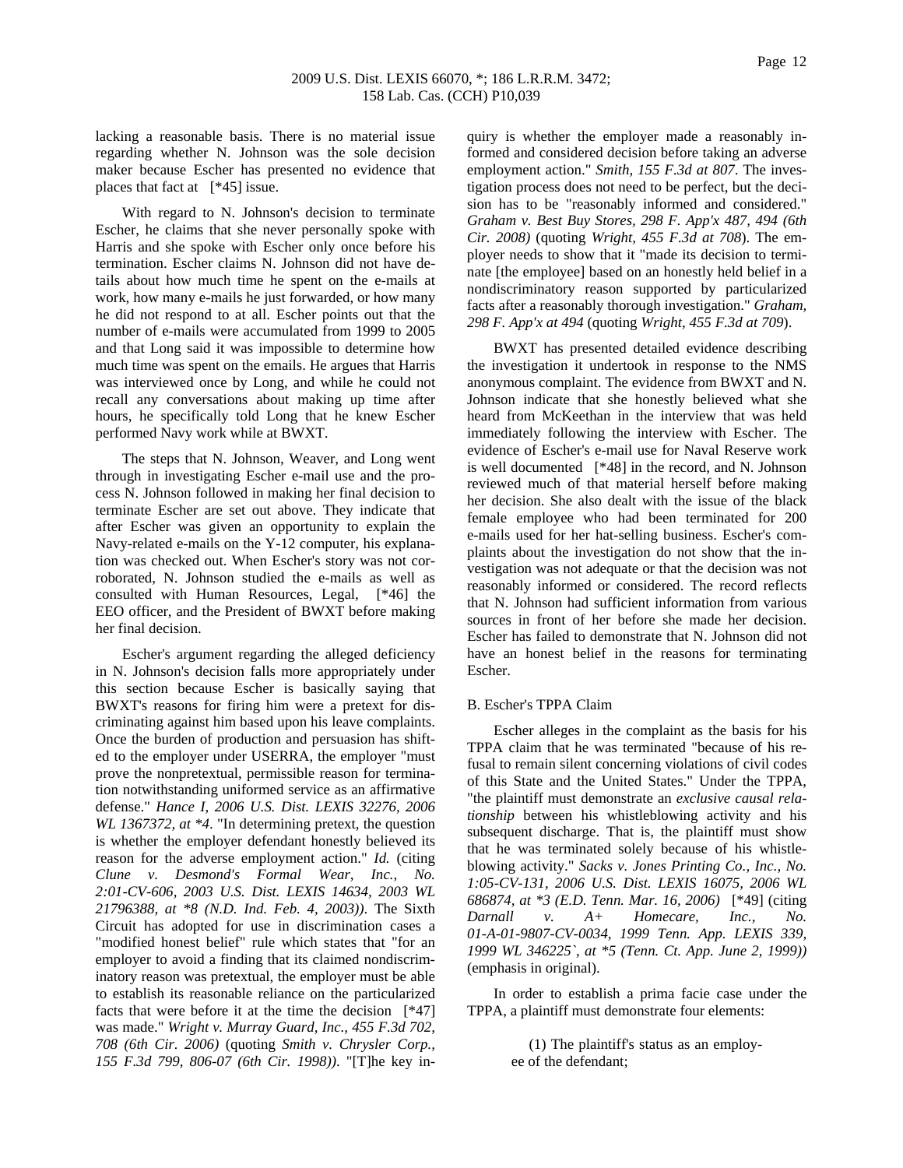lacking a reasonable basis. There is no material issue regarding whether N. Johnson was the sole decision maker because Escher has presented no evidence that places that fact at [\*45] issue.

With regard to N. Johnson's decision to terminate Escher, he claims that she never personally spoke with Harris and she spoke with Escher only once before his termination. Escher claims N. Johnson did not have details about how much time he spent on the e-mails at work, how many e-mails he just forwarded, or how many he did not respond to at all. Escher points out that the number of e-mails were accumulated from 1999 to 2005 and that Long said it was impossible to determine how much time was spent on the emails. He argues that Harris was interviewed once by Long, and while he could not recall any conversations about making up time after hours, he specifically told Long that he knew Escher performed Navy work while at BWXT.

The steps that N. Johnson, Weaver, and Long went through in investigating Escher e-mail use and the process N. Johnson followed in making her final decision to terminate Escher are set out above. They indicate that after Escher was given an opportunity to explain the Navy-related e-mails on the Y-12 computer, his explanation was checked out. When Escher's story was not corroborated, N. Johnson studied the e-mails as well as consulted with Human Resources, Legal, [\*46] the EEO officer, and the President of BWXT before making her final decision.

Escher's argument regarding the alleged deficiency in N. Johnson's decision falls more appropriately under this section because Escher is basically saying that BWXT's reasons for firing him were a pretext for discriminating against him based upon his leave complaints. Once the burden of production and persuasion has shifted to the employer under USERRA, the employer "must prove the nonpretextual, permissible reason for termination notwithstanding uniformed service as an affirmative defense." *Hance I, 2006 U.S. Dist. LEXIS 32276, 2006 WL 1367372, at \*4*. "In determining pretext, the question is whether the employer defendant honestly believed its reason for the adverse employment action." *Id.* (citing *Clune v. Desmond's Formal Wear, Inc., No. 2:01-CV-606, 2003 U.S. Dist. LEXIS 14634, 2003 WL 21796388, at \*8 (N.D. Ind. Feb. 4, 2003))*. The Sixth Circuit has adopted for use in discrimination cases a "modified honest belief" rule which states that "for an employer to avoid a finding that its claimed nondiscriminatory reason was pretextual, the employer must be able to establish its reasonable reliance on the particularized facts that were before it at the time the decision [\*47] was made." *Wright v. Murray Guard, Inc., 455 F.3d 702, 708 (6th Cir. 2006)* (quoting *Smith v. Chrysler Corp., 155 F.3d 799, 806-07 (6th Cir. 1998))*. "[T]he key inquiry is whether the employer made a reasonably informed and considered decision before taking an adverse employment action." *Smith, 155 F.3d at 807*. The investigation process does not need to be perfect, but the decision has to be "reasonably informed and considered." *Graham v. Best Buy Stores, 298 F. App'x 487, 494 (6th Cir. 2008)* (quoting *Wright, 455 F.3d at 708*). The employer needs to show that it "made its decision to terminate [the employee] based on an honestly held belief in a nondiscriminatory reason supported by particularized facts after a reasonably thorough investigation." *Graham, 298 F. App'x at 494* (quoting *Wright, 455 F.3d at 709*).

BWXT has presented detailed evidence describing the investigation it undertook in response to the NMS anonymous complaint. The evidence from BWXT and N. Johnson indicate that she honestly believed what she heard from McKeethan in the interview that was held immediately following the interview with Escher. The evidence of Escher's e-mail use for Naval Reserve work is well documented [\*48] in the record, and N. Johnson reviewed much of that material herself before making her decision. She also dealt with the issue of the black female employee who had been terminated for 200 e-mails used for her hat-selling business. Escher's complaints about the investigation do not show that the investigation was not adequate or that the decision was not reasonably informed or considered. The record reflects that N. Johnson had sufficient information from various sources in front of her before she made her decision. Escher has failed to demonstrate that N. Johnson did not have an honest belief in the reasons for terminating Escher.

#### B. Escher's TPPA Claim

Escher alleges in the complaint as the basis for his TPPA claim that he was terminated "because of his refusal to remain silent concerning violations of civil codes of this State and the United States." Under the TPPA, "the plaintiff must demonstrate an *exclusive causal relationship* between his whistleblowing activity and his subsequent discharge. That is, the plaintiff must show that he was terminated solely because of his whistleblowing activity." *Sacks v. Jones Printing Co., Inc., No. 1:05-CV-131, 2006 U.S. Dist. LEXIS 16075, 2006 WL 686874, at \*3 (E.D. Tenn. Mar. 16, 2006)* [\*49] (citing *Darnall v. A+ Homecare, Inc., No. 01-A-01-9807-CV-0034, 1999 Tenn. App. LEXIS 339, 1999 WL 346225`, at \*5 (Tenn. Ct. App. June 2, 1999))* (emphasis in original).

In order to establish a prima facie case under the TPPA, a plaintiff must demonstrate four elements:

> (1) The plaintiff's status as an employee of the defendant;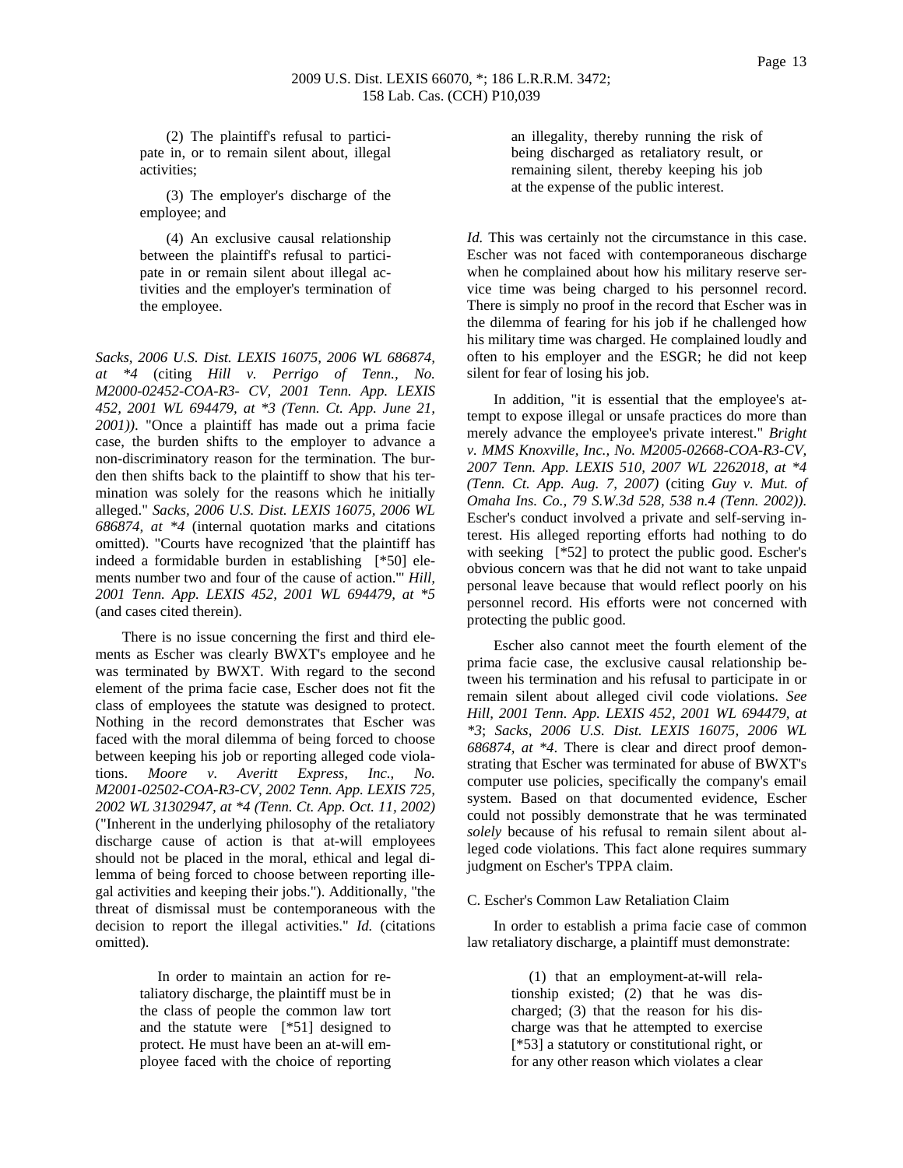(2) The plaintiff's refusal to participate in, or to remain silent about, illegal activities;

(3) The employer's discharge of the employee; and

(4) An exclusive causal relationship between the plaintiff's refusal to participate in or remain silent about illegal activities and the employer's termination of the employee.

*Sacks, 2006 U.S. Dist. LEXIS 16075, 2006 WL 686874, at \*4* (citing *Hill v. Perrigo of Tenn., No. M2000-02452-COA-R3- CV, 2001 Tenn. App. LEXIS 452, 2001 WL 694479, at \*3 (Tenn. Ct. App. June 21, 2001))*. "Once a plaintiff has made out a prima facie case, the burden shifts to the employer to advance a non-discriminatory reason for the termination. The burden then shifts back to the plaintiff to show that his termination was solely for the reasons which he initially alleged." *Sacks, 2006 U.S. Dist. LEXIS 16075, 2006 WL 686874, at \*4* (internal quotation marks and citations omitted). "Courts have recognized 'that the plaintiff has indeed a formidable burden in establishing [\*50] elements number two and four of the cause of action.'" *Hill, 2001 Tenn. App. LEXIS 452, 2001 WL 694479, at \*5* (and cases cited therein).

There is no issue concerning the first and third elements as Escher was clearly BWXT's employee and he was terminated by BWXT. With regard to the second element of the prima facie case, Escher does not fit the class of employees the statute was designed to protect. Nothing in the record demonstrates that Escher was faced with the moral dilemma of being forced to choose between keeping his job or reporting alleged code violations. *Moore v. Averitt Express, Inc., No. M2001-02502-COA-R3-CV, 2002 Tenn. App. LEXIS 725, 2002 WL 31302947, at \*4 (Tenn. Ct. App. Oct. 11, 2002)* ("Inherent in the underlying philosophy of the retaliatory discharge cause of action is that at-will employees should not be placed in the moral, ethical and legal dilemma of being forced to choose between reporting illegal activities and keeping their jobs."). Additionally, "the threat of dismissal must be contemporaneous with the decision to report the illegal activities." *Id.* (citations omitted).

> In order to maintain an action for retaliatory discharge, the plaintiff must be in the class of people the common law tort and the statute were [\*51] designed to protect. He must have been an at-will employee faced with the choice of reporting

an illegality, thereby running the risk of being discharged as retaliatory result, or remaining silent, thereby keeping his job at the expense of the public interest.

*Id.* This was certainly not the circumstance in this case. Escher was not faced with contemporaneous discharge when he complained about how his military reserve service time was being charged to his personnel record. There is simply no proof in the record that Escher was in the dilemma of fearing for his job if he challenged how his military time was charged. He complained loudly and often to his employer and the ESGR; he did not keep silent for fear of losing his job.

In addition, "it is essential that the employee's attempt to expose illegal or unsafe practices do more than merely advance the employee's private interest." *Bright v. MMS Knoxville, Inc., No. M2005-02668-COA-R3-CV, 2007 Tenn. App. LEXIS 510, 2007 WL 2262018, at \*4 (Tenn. Ct. App. Aug. 7, 2007)* (citing *Guy v. Mut. of Omaha Ins. Co., 79 S.W.3d 528, 538 n.4 (Tenn. 2002))*. Escher's conduct involved a private and self-serving interest. His alleged reporting efforts had nothing to do with seeking [\*52] to protect the public good. Escher's obvious concern was that he did not want to take unpaid personal leave because that would reflect poorly on his personnel record. His efforts were not concerned with protecting the public good.

Escher also cannot meet the fourth element of the prima facie case, the exclusive causal relationship between his termination and his refusal to participate in or remain silent about alleged civil code violations. *See Hill, 2001 Tenn. App. LEXIS 452, 2001 WL 694479, at \*3*; *Sacks, 2006 U.S. Dist. LEXIS 16075, 2006 WL 686874, at \*4*. There is clear and direct proof demonstrating that Escher was terminated for abuse of BWXT's computer use policies, specifically the company's email system. Based on that documented evidence, Escher could not possibly demonstrate that he was terminated *solely* because of his refusal to remain silent about alleged code violations. This fact alone requires summary judgment on Escher's TPPA claim.

#### C. Escher's Common Law Retaliation Claim

In order to establish a prima facie case of common law retaliatory discharge, a plaintiff must demonstrate:

> (1) that an employment-at-will relationship existed; (2) that he was discharged; (3) that the reason for his discharge was that he attempted to exercise [\*53] a statutory or constitutional right, or for any other reason which violates a clear